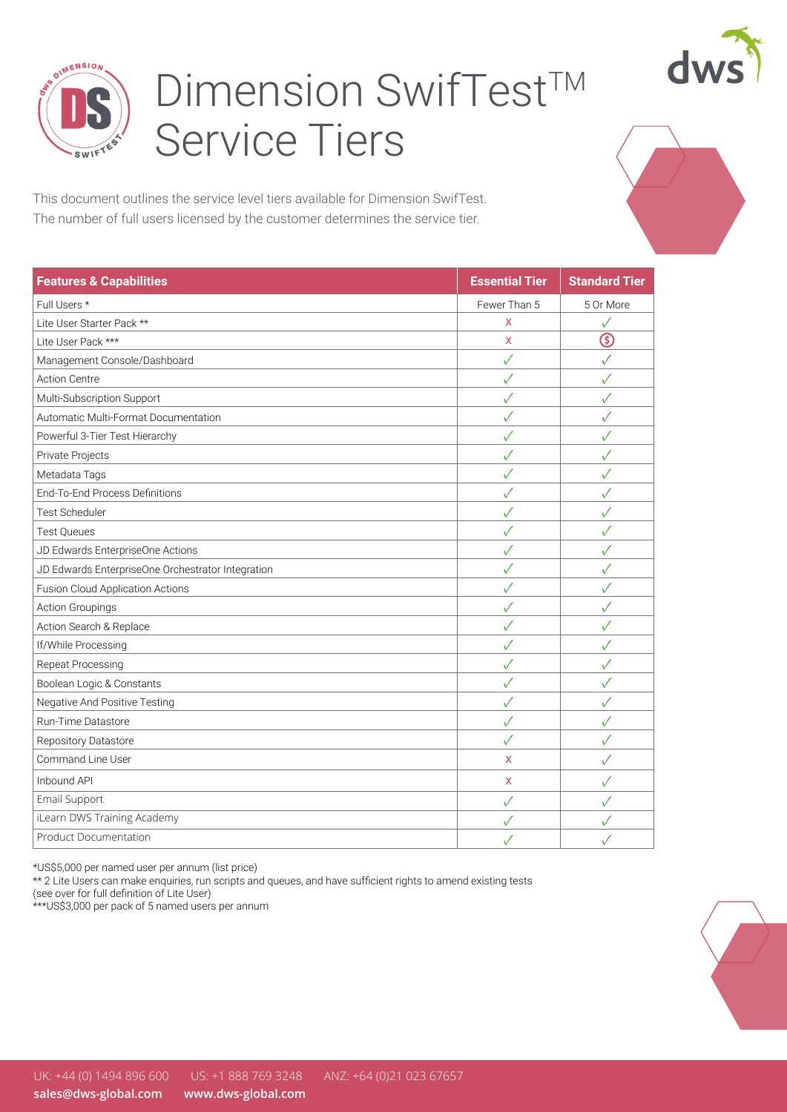



## Dimension SwifTest™ Service Tiers

This document outlines the service level tiers available for Dimension SwifTest. The number of full users licensed by the customer determines the service tier.

| <b>Features &amp; Capabilities</b>                | <b>Essential Tier</b> | <b>Standard Tier</b> |
|---------------------------------------------------|-----------------------|----------------------|
| Full Users *                                      | Fewer Than 5          | 5 Or More            |
| Lite User Starter Pack **                         | X                     | ✓                    |
| Lite User Pack ***                                | X                     | $\circledS$          |
| Management Console/Dashboard                      | $\checkmark$          | $\checkmark$         |
| <b>Action Centre</b>                              | $\checkmark$          | $\checkmark$         |
| Multi-Subscription Support                        | $\checkmark$          | $\checkmark$         |
| Automatic Multi-Format Documentation              | $\checkmark$          | $\checkmark$         |
| Powerful 3-Tier Test Hierarchy                    | $\checkmark$          | $\checkmark$         |
| Private Projects                                  | $\checkmark$          | $\checkmark$         |
| Metadata Tags                                     | $\checkmark$          | ✓                    |
| End-To-End Process Definitions                    | $\checkmark$          | ✓                    |
| <b>Test Scheduler</b>                             | ✓                     | ✓                    |
| <b>Test Queues</b>                                | $\checkmark$          | $\checkmark$         |
| JD Edwards EnterpriseOne Actions                  | $\checkmark$          | $\checkmark$         |
| JD Edwards EnterpriseOne Orchestrator Integration | $\checkmark$          | $\checkmark$         |
| Fusion Cloud Application Actions                  | $\checkmark$          | $\checkmark$         |
| <b>Action Groupings</b>                           | $\checkmark$          | $\checkmark$         |
| Action Search & Replace                           | $\checkmark$          | $\checkmark$         |
| If/While Processing                               | $\checkmark$          | √                    |
| Repeat Processing                                 | ✓                     | √                    |
| Boolean Logic & Constants                         | ✓                     | $\checkmark$         |
| Negative And Positive Testing                     | $\checkmark$          | $\checkmark$         |
| Run-Time Datastore                                | $\checkmark$          | $\checkmark$         |
| Repository Datastore                              | $\checkmark$          | $\checkmark$         |
| Command Line User                                 | X                     | $\checkmark$         |
| Inbound API                                       | X                     | ✓                    |
| Email Support                                     | $\checkmark$          | √                    |
| iLearn DWS Training Academy                       | $\checkmark$          | ✓                    |
| <b>Product Documentation</b>                      | $\checkmark$          | $\checkmark$         |

\*US\$5,000 per named user per annum (list price)

\*\* 2 Lite Users can make enquiries, run scripts and queues, and have sufficient rights to amend existing tests

(see over for full definition of Lite User)

\*\*\*US\$3,000 per pack of 5 named users per annum